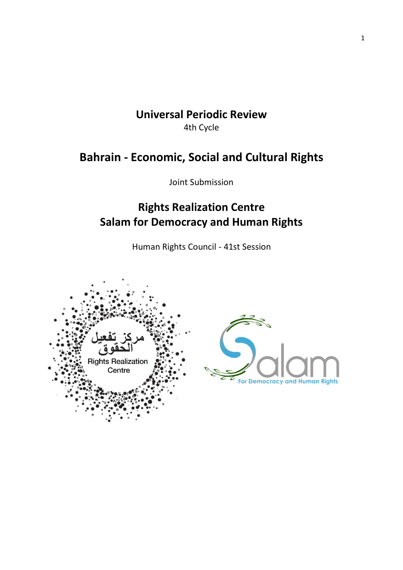### **Universal Periodic Review**  4th Cycle

## **Bahrain - Economic, Social and Cultural Rights**

Joint Submission

# **Rights Realization Centre Salam for Democracy and Human Rights**

Human Rights Council - 41st Session

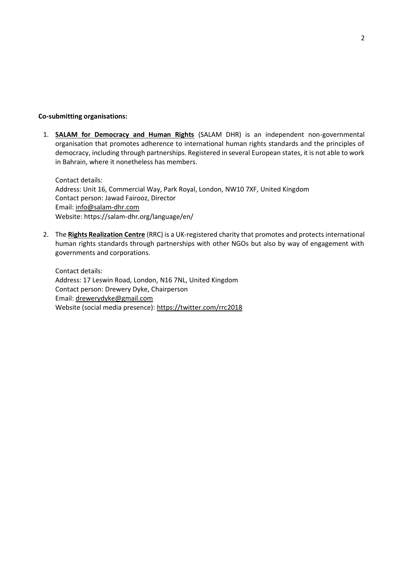#### **Co-submitting organisations:**

1. **[SALAM for Democracy and Human Rights](https://salam-dhr.org/?lang=en)** (SALAM DHR) is an independent non-governmental organisation that promotes adherence to international human rights standards and the principles of democracy, including through partnerships. Registered in several European states, it is not able to work in Bahrain, where it nonetheless has members.

Contact details: Address: Unit 16, Commercial Way, Park Royal, London, NW10 7XF, United Kingdom Contact person: Jawad Fairooz, Director Email[: info@salam-dhr.com](mailto:info@salam-dhr.com) Website: https://salam-dhr.org/language/en/

2. The **[Rights Realization Centre](https://register-of-charities.charitycommission.gov.uk/charity-search/-/charity-details/5103620/charity-overview)** (RRC) is a UK-registered charity that promotes and protects international human rights standards through partnerships with other NGOs but also by way of engagement with governments and corporations.

Contact details: Address: 17 Leswin Road, London, N16 7NL, United Kingdom Contact person: Drewery Dyke, Chairperson Email[: drewerydyke@gmail.com](mailto:drewerydyke@gmail.com) Website (social media presence):<https://twitter.com/rrc2018>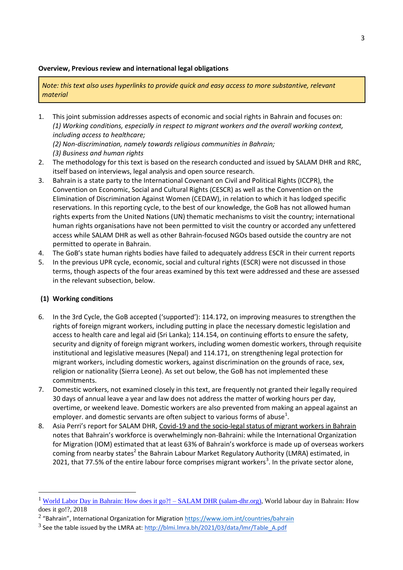#### **Overview, Previous review and international legal obligations**

*Note: this text also uses hyperlinks to provide quick and easy access to more substantive, relevant material*

1. This joint submission addresses aspects of economic and social rights in Bahrain and focuses on: *(1) Working conditions, especially in respect to migrant workers and the overall working context, including access to healthcare;* 

*(2) Non-discrimination, namely towards religious communities in Bahrain; (3) Business and human rights*

- 2. The methodology for this text is based on the research conducted and issued by SALAM DHR and RRC, itself based on interviews, legal analysis and open source research.
- 3. Bahrain is a state party to the International Covenant on Civil and Political Rights (ICCPR), the Convention on Economic, Social and Cultural Rights (CESCR) as well as the Convention on the Elimination of Discrimination Against Women (CEDAW), in relation to which it has lodged specific reservations. In this reporting cycle, to the best of our knowledge, the GoB has not allowed human rights experts from the United Nations (UN) thematic mechanisms to visit the country; international human rights organisations have not been permitted to visit the country or accorded any unfettered access while SALAM DHR as well as other Bahrain-focused NGOs based outside the country are not permitted to operate in Bahrain.
- 4. The GoB's state human rights bodies have failed to adequately address ESCR in their current reports
- 5. In the previous UPR cycle, economic, social and cultural rights (ESCR) were not discussed in those terms, though aspects of the four areas examined by this text were addressed and these are assessed in the relevant subsection, below.

### **(1) Working conditions**

- 6. In the 3rd Cycle, the GoB accepted ('supported'): 114.172, on improving measures to strengthen the rights of foreign migrant workers, including putting in place the necessary domestic legislation and access to health care and legal aid (Sri Lanka); 114.154, on continuing efforts to ensure the safety, security and dignity of foreign migrant workers, including women domestic workers, through requisite institutional and legislative measures (Nepal) and 114.171, on strengthening legal protection for migrant workers, including domestic workers, against discrimination on the grounds of race, sex, religion or nationality (Sierra Leone). As set out below, the GoB has not implemented these commitments.
- 7. Domestic workers, not examined closely in this text, are frequently not granted their legally required 30 days of annual leave a year and law does not address the matter of working hours per day, overtime, or weekend leave. Domestic workers are also prevented from making an appeal against an employer. and domestic servants are often subject to various forms of abuse<sup>1</sup>.
- 8. Asia Perri's report for SALAM DHR, [Covid-19 and the socio-legal status of migrant workers in Bahrain](https://salam-dhr.org/covid-19-and-the-socio-legal-status-of-migrant-workers-in-bahrain/) notes that Bahrain's workforce is overwhelmingly non-Bahraini: while the International Organization for Migration (IOM) estimated that at least 63% of Bahrain's workforce is made up of overseas workers coming from nearby states<sup>2</sup> the Bahrain Labour Market Regulatory Authority (LMRA) estimated, in 2021, that 77.5% of the entire labour force comprises migrant workers<sup>3</sup>. In the private sector alone,

<sup>&</sup>lt;sup>1</sup> [World Labor Day in Bahrain: How does it go?! –](https://salam-dhr.org/?p=2249) SALAM DHR (salam-dhr.org), World labour day in Bahrain: How does it go!?, 2018

<sup>&</sup>lt;sup>2</sup> "Bahrain", International Organization for Migration <https://www.iom.int/countries/bahrain>

 $^3$  See the table issued by the LMRA at:  $http://blmi.lmra.bh/2021/03/data/lmr/Table$  A.pdf</u>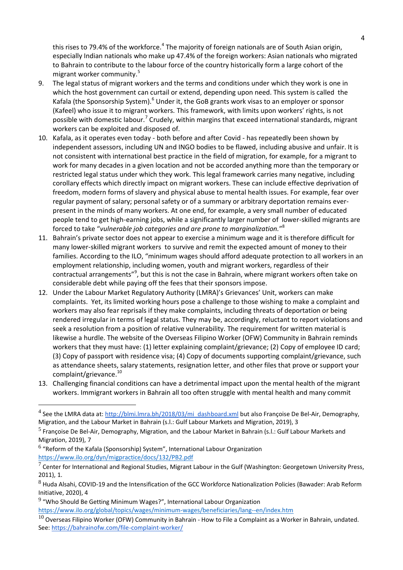this rises to 79.4% of the workforce.<sup>4</sup> The majority of foreign nationals are of South Asian origin, especially Indian nationals who make up 47.4% of the foreign workers: Asian nationals who migrated to Bahrain to contribute to the labour force of the country historically form a large cohort of the migrant worker community.<sup>5</sup>

- 9. The legal status of migrant workers and the terms and conditions under which they work is one in which the host government can curtail or extend, depending upon need. This system is called the Kafala (the Sponsorship System).<sup>6</sup> Under it, the GoB grants work visas to an employer or sponsor (Kafeel) who issue it to migrant workers. This framework, with limits upon workers' rights, is not possible with domestic labour.<sup>7</sup> Crudely, within margins that exceed international standards, migrant workers can be exploited and disposed of.
- 10. Kafala, as it operates even today both before and after Covid has repeatedly been shown by independent assessors, including UN and INGO bodies to be flawed, including abusive and unfair. It is not consistent with international best practice in the field of migration, for example, for a migrant to work for many decades in a given location and not be accorded anything more than the temporary or restricted legal status under which they work. This legal framework carries many negative, including corollary effects which directly impact on migrant workers. These can include effective deprivation of freedom, modern forms of slavery and physical abuse to mental health issues. For example, fear over regular payment of salary; personal safety or of a summary or arbitrary deportation remains everpresent in the minds of many workers. At one end, for example, a very small number of educated people tend to get high-earning jobs, while a significantly larger number of lower-skilled migrants are forced to take "*vulnerable job categories and are prone to marginalization.*" 8
- 11. Bahrain's private sector does not appear to exercise a minimum wage and it is therefore difficult for many lower-skilled migrant workers to survive and remit the expected amount of money to their families. According to the ILO, "minimum wages should afford adequate protection to all workers in an employment relationship, including women, youth and migrant workers, regardless of their contractual arrangements"<sup>9</sup>, but this is not the case in Bahrain, where migrant workers often take on considerable debt while paying off the fees that their sponsors impose.
- 12. Under the Labour Market Regulatory Authority (LMRA)'s Grievances' Unit, workers can make complaints. Yet, its limited working hours pose a challenge to those wishing to make a complaint and workers may also fear reprisals if they make complaints, including threats of deportation or being rendered irregular in terms of legal status. They may be, accordingly, reluctant to report violations and seek a resolution from a position of relative vulnerability. The requirement for written material is likewise a hurdle. The website of the Overseas Filipino Worker (OFW) Community in Bahrain reminds workers that they must have: (1) letter explaining complaint/grievance; (2) Copy of employee ID card; (3) Copy of passport with residence visa; (4) Copy of documents supporting complaint/grievance, such as attendance sheets, salary statements, resignation letter, and other files that prove or support your complaint/grievance.<sup>10</sup>
- 13. Challenging financial conditions can have a detrimental impact upon the mental health of the migrant workers. Immigrant workers in Bahrain all too often struggle with mental health and many commit

 $9$  "Who Should Be Getting Minimum Wages?", International Labour Organization

<https://www.ilo.org/global/topics/wages/minimum-wages/beneficiaries/lang--en/index.htm>

<sup>&</sup>lt;sup>4</sup> See the LMRA data at: [http://blmi.lmra.bh/2018/03/mi\\_dashboard.xml](http://blmi.lmra.bh/2018/03/mi_dashboard.xml) but also Françoise De Bel-Air, Demography, Migration, and the Labour Market in Bahrain (s.l.: Gulf Labour Markets and Migration, 2019), 3

<sup>5</sup> Françoise De Bel-Air, Demography, Migration, and the Labour Market in Bahrain (s.l.: Gulf Labour Markets and Migration, 2019), 7

 $^6$  "Reform of the Kafala (Sponsorship) System", International Labour Organization <https://www.ilo.org/dyn/migpractice/docs/132/PB2.pdf>

 $^7$  Center for International and Regional Studies, Migrant Labour in the Gulf (Washington: Georgetown University Press, 2011), 1.

<sup>8</sup> Huda Alsahi, COVID-19 and the Intensification of the GCC Workforce Nationalization Policies (Bawader: Arab Reform Initiative, 2020), 4

 $^{10}$  Overseas Filipino Worker (OFW) Community in Bahrain - How to File a Complaint as a Worker in Bahrain, undated. See:<https://bahrainofw.com/file-complaint-worker/>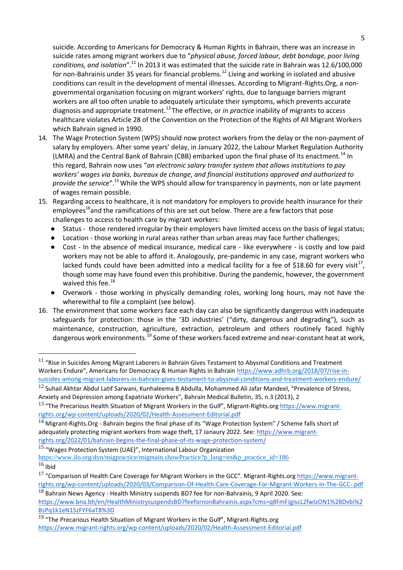suicide. According to Americans for Democracy & Human Rights in Bahrain, there was an increase in suicide rates among migrant workers due to "*physical abuse, forced labour, debt bondage, poor living conditions, and isolation*".<sup>11</sup> In 2013 it was estimated that the suicide rate in Bahrain was 12.6/100,000 for non-Bahrainis under 35 years for financial problems.<sup>12</sup> Living and working in isolated and abusive conditions can result in the development of mental illnesses. According to Migrant-Rights.Org, a nongovernmental organisation focusing on migrant workers' rights, due to language barriers migrant workers are all too often unable to adequately articulate their symptoms, which prevents accurate diagnosis and appropriate treatment.<sup>13</sup> The effective, or *in practice* inability of migrants to access healthcare violates Article 28 of the Convention on the Protection of the Rights of All Migrant Workers which Bahrain signed in 1990.

- 14. The Wage Protection System (WPS) should now protect workers from the delay or the non-payment of salary by employers. After some years' delay, in January 2022, the Labour Market Regulation Authority (LMRA) and the Central Bank of Bahrain (CBB) embarked upon the final phase of its enactment.<sup>14</sup> In this regard, Bahrain now uses "*an electronic salary transfer system that allows institutions to pay workers' wages via banks, bureaux de change, and financial institutions approved and authorized to provide the service*".<sup>15</sup>While the WPS should allow for transparency in payments, non or late payment of wages remain possible.
- 15. Regarding access to healthcare, it is not mandatory for employers to provide health insurance for their employees<sup>16</sup>and the ramifications of this are set out below. There are a few factors that pose challenges to access to health care by migrant workers:
	- Status those rendered irregular by their employers have limited access on the basis of legal status;
	- Location those working in rural areas rather than urban areas may face further challenges;
	- Cost In the absence of medical insurance, medical care like everywhere is costly and low paid workers may not be able to afford it. Analogously, pre-pandemic in any case, migrant workers who lacked funds could have been admitted into a medical facility for a fee of \$18.60 for every visit<sup>17</sup>, though some may have found even this prohibitive. During the pandemic, however, the government waived this fee.<sup>18</sup>
	- Overwork those working in physically demanding roles, working long hours, may not have the wherewithal to file a complaint (see below).
- 16. The environment that some workers face each day can also be significantly dangerous with inadequate safeguards for protection: those in the '3D industries' ("dirty, dangerous and degrading"), such as maintenance, construction, agriculture, extraction, petroleum and others routinely faced highly dangerous work environments.<sup>19</sup> Some of these workers faced extreme and near-constant heat at work,

<sup>15</sup> "Wages Protection System (UAE)", International Labour Organization

 $11$  "Rise in Suicides Among Migrant Laborers in Bahrain Gives Testament to Abysmal Conditions and Treatment Workers Endure", Americans for Democracy & Human Rights in Bahrain [https://www.adhrb.org/2018/07/rise-in](https://www.adhrb.org/2018/07/rise-in-suicides-among-migrant-laborers-in-bahrain-gives-testament-to-abysmal-conditions-and-treatment-workers-endure/)[suicides-among-migrant-laborers-in-bahrain-gives-testament-to-abysmal-conditions-and-treatment-workers-endure/](https://www.adhrb.org/2018/07/rise-in-suicides-among-migrant-laborers-in-bahrain-gives-testament-to-abysmal-conditions-and-treatment-workers-endure/)

 $12$  Suhail Akhtar Abdul Latif Sarwani, Kunhaleema B Abdulla, Mohammed Ali Jafar Mandeel, "Prevalence of Stress, Anxiety and Depression among Expatriate Workers", Bahrain Medical Bulletin, 35, n.3 (2013), 2

<sup>&</sup>lt;sup>13</sup> "The Precarious Health Situation of Migrant Workers in the Gulf", Migrant-Rights.org [https://www.migrant](https://www.migrant-rights.org/wp-content/uploads/2020/02/Health-Assessment-Editorial.pdf)[rights.org/wp-content/uploads/2020/02/Health-Assessment-Editorial.pdf](https://www.migrant-rights.org/wp-content/uploads/2020/02/Health-Assessment-Editorial.pdf)

<sup>&</sup>lt;sup>14</sup> Migrant-Rights.Org - Bahrain begins the final phase of its "Wage Protection System" / Scheme falls short of adequately protecting migrant workers from wage theft, 17 Janaury 2022. See: [https://www.migrant](https://www.migrant-rights.org/2022/01/bahrain-begins-the-final-phase-of-its-wage-protection-system/)[rights.org/2022/01/bahrain-begins-the-final-phase-of-its-wage-protection-system/](https://www.migrant-rights.org/2022/01/bahrain-begins-the-final-phase-of-its-wage-protection-system/)

[https://www.ilo.org/dyn/migpractice/migmain.showPractice?p\\_lang=en&p\\_practice\\_id=186](https://www.ilo.org/dyn/migpractice/migmain.showPractice?p_lang=en&p_practice_id=186)  $16$  Ibid

<sup>&</sup>lt;sup>17</sup> "Comparison of Health Care Coverage for Migrant Workers in the GCC". Migrant-Rights.org [https://www.migrant](https://www.migrant-rights.org/wp-content/uploads/2020/03/Comparison-Of-Health-Care-Coverage-For-Migrant-Workers-In-The-GCC-.pdf)[rights.org/wp-content/uploads/2020/03/Comparison-Of-Health-Care-Coverage-For-Migrant-Workers-In-The-GCC-.pdf](https://www.migrant-rights.org/wp-content/uploads/2020/03/Comparison-Of-Health-Care-Coverage-For-Migrant-Workers-In-The-GCC-.pdf)

<sup>&</sup>lt;sup>18</sup> Bahrain News Agency - Health Ministry suspends BD7 fee for non-Bahrainis, 9 April 2020. See: [https://www.bna.bh/en/HealthMinistrysuspendsBD7feefornonBahrainis.aspx?cms=q8FmFJgiscL2fwIzON1%2BDvbi%2](https://www.bna.bh/en/HealthMinistrysuspendsBD7feefornonBahrainis.aspx?cms=q8FmFJgiscL2fwIzON1%2BDvbi%2BsPq1k1eN15zFYF6aT8%3D) [BsPq1k1eN15zFYF6aT8%3D](https://www.bna.bh/en/HealthMinistrysuspendsBD7feefornonBahrainis.aspx?cms=q8FmFJgiscL2fwIzON1%2BDvbi%2BsPq1k1eN15zFYF6aT8%3D)

 $19$  "The Precarious Health Situation of Migrant Workers in the Gulf", Migrant-Rights.org <https://www.migrant-rights.org/wp-content/uploads/2020/02/Health-Assessment-Editorial.pdf>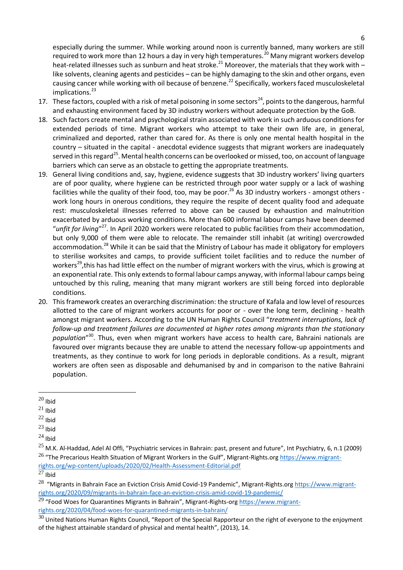especially during the summer. While working around noon is currently banned, many workers are still required to work more than 12 hours a day in very high temperatures.<sup>20</sup> Many migrant workers develop heat-related illnesses such as sunburn and heat stroke.<sup>21</sup> Moreover, the materials that they work with – like solvents, cleaning agents and pesticides – can be highly damaging to the skin and other organs, even causing cancer while working with oil because of benzene.<sup>22</sup> Specifically, workers faced musculoskeletal implications. $^{23}$ 

- 17. These factors, coupled with a risk of metal poisoning in some sectors<sup>24</sup>, points to the dangerous, harmful and exhausting environment faced by 3D industry workers without adequate protection by the GoB.
- 18. Such factors create mental and psychological strain associated with work in such arduous conditions for extended periods of time. Migrant workers who attempt to take their own life are, in general, criminalized and deported, rather than cared for. As there is only one mental health hospital in the country – situated in the capital - anecdotal evidence suggests that migrant workers are inadequately served in this regard<sup>25</sup>. Mental health concerns can be overlooked or missed, too, on account of language barriers which can serve as an obstacle to getting the appropriate treatments.
- 19. General living conditions and, say, hygiene, evidence suggests that 3D industry workers' living quarters are of poor quality, where hygiene can be restricted through poor water supply or a lack of washing facilities while the quality of their food, too, may be poor.<sup>26</sup> As 3D industry workers - amongst others work long hours in onerous conditions, they require the respite of decent quality food and adequate rest: musculoskeletal illnesses referred to above can be caused by exhaustion and malnutrition exacerbated by arduous working conditions. More than 600 informal labour camps have been deemed "unfit for living"<sup>27</sup>. In April 2020 workers were relocated to public facilities from their accommodation, but only 9,000 of them were able to relocate. The remainder still inhabit (at writing) overcrowded accommodation.<sup>28</sup> While it can be said that the Ministry of Labour has made it obligatory for employers to sterilise worksites and camps, to provide sufficient toilet facilities and to reduce the number of workers<sup>29</sup>, this has had little effect on the number of migrant workers with the virus, which is growing at an exponential rate. This only extends to formal labour camps anyway, with informal labour camps being untouched by this ruling, meaning that many migrant workers are still being forced into deplorable conditions.
- 20. This framework creates an overarching discrimination: the structure of Kafala and low level of resources allotted to the care of migrant workers accounts for poor or - over the long term, declining - health amongst migrant workers. According to the UN Human Rights Council "*treatment interruptions, lack of follow-up and treatment failures are documented at higher rates among migrants than the stationary population*" <sup>30</sup>. Thus, even when migrant workers have access to health care, Bahraini nationals are favoured over migrants because they are unable to attend the necessary follow-up appointments and treatments, as they continue to work for long periods in deplorable conditions. As a result, migrant workers are often seen as disposable and dehumanised by and in comparison to the native Bahraini population.

 $20$  Ibid

 $21$  Ibid

 $22$  Ibid

 $23$  Ibid

 $^{24}$  Ibid

 $25$  M.K. Al-Haddad, Adel Al Offi, "Psychiatric services in Bahrain: past, present and future", Int Psychiatry, 6, n.1 (2009) <sup>26</sup> "The Precarious Health Situation of Migrant Workers in the Gulf", Migrant-Rights.org [https://www.migrant](https://www.migrant-rights.org/wp-content/uploads/2020/02/Health-Assessment-Editorial.pdf)[rights.org/wp-content/uploads/2020/02/Health-Assessment-Editorial.pdf](https://www.migrant-rights.org/wp-content/uploads/2020/02/Health-Assessment-Editorial.pdf)

 $27$  Ibid

<sup>&</sup>lt;sup>28</sup> "Migrants in Bahrain Face an Eviction Crisis Amid Covid-19 Pandemic", Migrant-Rights.or[g https://www.migrant](https://www.migrant-rights.org/2020/09/migrants-in-bahrain-face-an-eviction-crisis-amid-covid-19-pandemic/)[rights.org/2020/09/migrants-in-bahrain-face-an-eviction-crisis-amid-covid-19-pandemic/](https://www.migrant-rights.org/2020/09/migrants-in-bahrain-face-an-eviction-crisis-amid-covid-19-pandemic/)

 $29$  "Food Woes for Quarantines Migrants in Bahrain", Migrant-Rights-or[g https://www.migrant](https://www.migrant-rights.org/2020/04/food-woes-for-quarantined-migrants-in-bahrain/)[rights.org/2020/04/food-woes-for-quarantined-migrants-in-bahrain/](https://www.migrant-rights.org/2020/04/food-woes-for-quarantined-migrants-in-bahrain/)

 $30$  United Nations Human Rights Council, "Report of the Special Rapporteur on the right of everyone to the enjoyment of the highest attainable standard of physical and mental health", (2013), 14.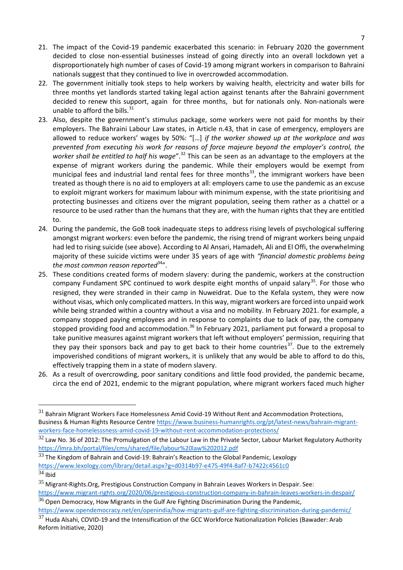- 21. The impact of the Covid-19 pandemic exacerbated this scenario: in February 2020 the government decided to close non-essential businesses instead of going directly into an overall lockdown yet a disproportionately high number of cases of Covid-19 among migrant workers in comparison to Bahraini nationals suggest that they continued to live in overcrowded accommodation.
- 22. The government initially took steps to help workers by waiving health, electricity and water bills for three months yet landlords started taking legal action against tenants after the Bahraini government decided to renew this support, again for three months, but for nationals only. Non-nationals were unable to afford the bills. $31$
- 23. Also, despite the government's stimulus package, some workers were not paid for months by their employers. The Bahraini Labour Law states, in Article n.43, that in case of emergency, employers are allowed to reduce workers' wages by 50%: "[…] *if the worker showed up at the workplace and was prevented from executing his work for reasons of force majeure beyond the employer's control, the worker shall be entitled to half his wage*".<sup>32</sup> This can be seen as an advantage to the employers at the expense of migrant workers during the pandemic. While their employers would be exempt from municipal fees and industrial land rental fees for three months $^{33}$ , the immigrant workers have been treated as though there is no aid to employers at all: employers came to use the pandemic as an excuse to exploit migrant workers for maximum labour with minimum expense, with the state prioritising and protecting businesses and citizens over the migrant population, seeing them rather as a chattel or a resource to be used rather than the humans that they are, with the human rights that they are entitled to.
- 24. During the pandemic, the GoB took inadequate steps to address rising levels of psychological suffering amongst migrant workers: even before the pandemic, the rising trend of migrant workers being unpaid had led to rising suicide (see above). According to Al Ansari, Hamadeh, Ali and El Offi, the overwhelming majority of these suicide victims were under 35 years of age with *"financial domestic problems being the most common reason reported*<sup>34</sup>".
- 25. These conditions created forms of modern slavery: during the pandemic, workers at the construction company Fundament SPC continued to work despite eight months of unpaid salary<sup>35</sup>. For those who resigned, they were stranded in their camp in Nuweidrat. Due to the Kefala system, they were now without visas, which only complicated matters. In this way, migrant workers are forced into unpaid work while being stranded within a country without a visa and no mobility. In February 2021. for example, a company stopped paying employees and in response to complaints due to lack of pay, the company stopped providing food and accommodation.<sup>36</sup> In February 2021, parliament put forward a proposal to take punitive measures against migrant workers that left without employers' permission, requiring that they pay their sponsors back and pay to get back to their home countries<sup>37</sup>. Due to the extremely impoverished conditions of migrant workers, it is unlikely that any would be able to afford to do this, effectively trapping them in a state of modern slavery.
- 26. As a result of overcrowding, poor sanitary conditions and little food provided, the pandemic became, circa the end of 2021, endemic to the migrant population, where migrant workers faced much higher

 $31$  Bahrain Migrant Workers Face Homelessness Amid Covid-19 Without Rent and Accommodation Protections, Business & Human Rights Resource Centr[e https://www.business-humanrights.org/pt/latest-news/bahrain-migrant](https://www.business-humanrights.org/pt/latest-news/bahrain-migrant-workers-face-homelesssness-amid-covid-19-without-rent-accommodation-protections/)[workers-face-homelesssness-amid-covid-19-without-rent-accommodation-protections/](https://www.business-humanrights.org/pt/latest-news/bahrain-migrant-workers-face-homelesssness-amid-covid-19-without-rent-accommodation-protections/)

 $32$  Law No. 36 of 2012: The Promulgation of the Labour Law in the Private Sector, Labour Market Regulatory Authority <https://lmra.bh/portal/files/cms/shared/file/labour%20law%202012.pdf>

 $33$  The Kingdom of Bahrain and Covid-19: Bahrain's Reaction to the Global Pandemic, Lexology <https://www.lexology.com/library/detail.aspx?g=d0314b97-e475-49f4-8af7-b7422c4561c0>  $34$  Ibid

<sup>35</sup> Migrant-Rights.Org, Prestigious Construction Company in Bahrain Leaves Workers in Despair. See: <https://www.migrant-rights.org/2020/06/prestigious-construction-company-in-bahrain-leaves-workers-in-despair/>

 $36$  Open Democracy, How Migrants in the Gulf Are Fighting Discrimination During the Pandemic, <https://www.opendemocracy.net/en/openindia/how-migrants-gulf-are-fighting-discrimination-during-pandemic/>

 $37$  Huda Alsahi, COVID-19 and the Intensification of the GCC Workforce Nationalization Policies (Bawader: Arab Reform Initiative, 2020)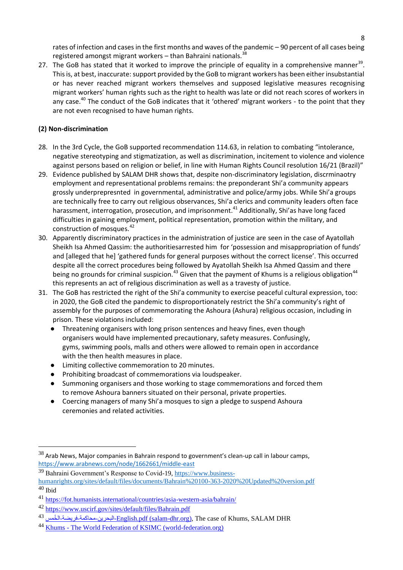rates of infection and cases in the first months and waves of the pandemic – 90 percent of all cases being registered amongst migrant workers – than Bahraini nationals.<sup>38</sup>

27. The GoB has stated that it worked to improve the principle of equality in a comprehensive manner<sup>39</sup>. This is, at best, inaccurate: support provided by the GoB to migrant workers has been either insubstantial or has never reached migrant workers themselves and supposed legislative measures recognising migrant workers' human rights such as the right to health was late or did not reach scores of workers in any case.<sup>40</sup> The conduct of the GoB indicates that it 'othered' migrant workers - to the point that they are not even recognised to have human rights.

### **(2) Non-discrimination**

- 28. In the 3rd Cycle, the GoB supported recommendation 114.63, in relation to combating "intolerance, negative stereotyping and stigmatization, as well as discrimination, incitement to violence and violence against persons based on religion or belief, in line with Human Rights Council resolution 16/21 (Brazil)"
- 29. Evidence published by SALAM DHR shows that, despite non-discriminatory legislation, discrminaotry employment and representational problems remains: the preponderant Shi'a community appears grossly underprepresnted in governmental, administrative and police/army jobs. While Shi'a groups are technically free to carry out religious observances, Shi'a clerics and community leaders often face harassment, interrogation, prosecution, and imprisonment.<sup>41</sup> Additionally, Shi'as have long faced difficulties in gaining employment, political representation, promotion within the military, and construction of mosques.<sup>42</sup>
- 30. Apparently discriminatory practices in the administration of justice are seen in the case of Ayatollah Sheikh Isa Ahmed Qassim: the authoritiesarrested him for 'possession and misappropriation of funds' and [alleged that he] 'gathered funds for general purposes without the correct license'. This occurred despite all the correct procedures being followed by Ayatollah Sheikh Isa Ahmed Qassim and there being no grounds for criminal suspicion.<sup>43</sup> Given that the payment of Khums is a religious obligation<sup>44</sup> this represents an act of religious discrimination as well as a travesty of justice.
- 31. The GoB has restricted the right of the Shi'a community to exercise peaceful cultural expression, too: in 2020, the GoB cited the pandemic to disproportionately restrict the Shi'a community's right of assembly for the purposes of commemorating the Ashoura (Ashura) religious occasion, including in prison. These violations included:
	- Threatening organisers with long prison sentences and heavy fines, even though organisers would have implemented precautionary, safety measures. Confusingly, gyms, swimming pools, malls and others were allowed to remain open in accordance with the then health measures in place.
	- Limiting collective commemoration to 20 minutes.
	- Prohibiting broadcast of commemorations via loudspeaker.
	- Summoning organisers and those working to stage commemorations and forced them to remove Ashoura banners situated on their personal, private properties.
	- Coercing managers of many Shi'a mosques to sign a pledge to suspend Ashoura ceremonies and related activities.

 $38$  Arab News, Major companies in Bahrain respond to government's clean-up call in labour camps, <https://www.arabnews.com/node/1662661/middle-east>

<sup>39</sup> Bahraini Government's Response to Covid-19[, https://www.business-](https://www.business-humanrights.org/sites/default/files/documents/Bahrain%20100-363-2020%20Updated%20version.pdf)

[humanrights.org/sites/default/files/documents/Bahrain%20100-363-2020%20Updated%20version.pdf](https://www.business-humanrights.org/sites/default/files/documents/Bahrain%20100-363-2020%20Updated%20version.pdf)  $40$  Ibid

<sup>41</sup> <https://fot.humanists.international/countries/asia-western-asia/bahrain/>

<sup>42</sup> <https://www.uscirf.gov/sites/default/files/Bahrain.pdf>

<sup>&</sup>lt;sup>43</sup> خريضة-الخمس <sup>43</sup> English.pdf [\(salam-dhr.org\),](https://salam-dhr.org/wp-content/uploads/2019/02/%D8%A7%D9%84%D8%A8%D8%AD%D8%B1%D9%8A%D9%86-%D9%85%D8%AD%D8%A7%D9%83%D9%85%D8%A9-%D9%81%D8%B1%D9%8A%D8%B6%D8%A9-%D8%A7%D9%84%D8%AE%D9%8F%D9%85%D8%B3-English.pdf) The case of Khums, SALAM DHR

<sup>44</sup> Khums - [The World Federation of KSIMC \(world-federation.org\)](https://www.world-federation.org/community-affairs/khums/)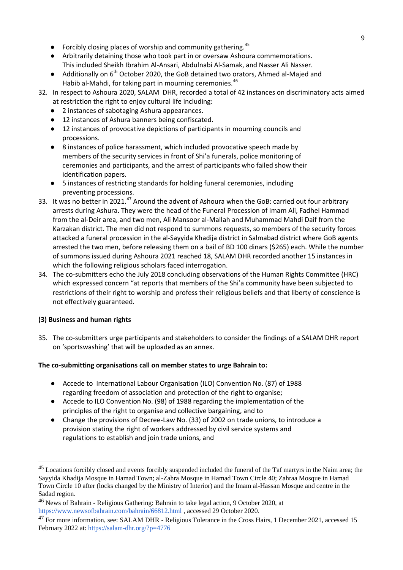- Forcibly closing places of worship and community gathering.<sup>45</sup>
- Arbitrarily detaining those who took part in or oversaw Ashoura commemorations. This included Sheikh Ibrahim Al-Ansari, Abdulnabi Al-Samak, and Nasser Ali Nasser.
- Additionally on 6<sup>th</sup> October 2020, the GoB detained two orators, Ahmed al-Majed and Habib al-Mahdi, for taking part in mourning ceremonies.<sup>46</sup>
- 32. In respect to Ashoura 2020, SALAM DHR, recorded a total of 42 instances on discriminatory acts aimed at restriction the right to enjoy cultural life including:
	- 2 instances of sabotaging Ashura appearances.
	- 12 instances of Ashura banners being confiscated.
	- 12 instances of provocative depictions of participants in mourning councils and processions.
	- 8 instances of police harassment, which included provocative speech made by members of the security services in front of Shi'a funerals, police monitoring of ceremonies and participants, and the arrest of participants who failed show their identification papers.
	- 5 instances of restricting standards for holding funeral ceremonies, including preventing processions.
- 33. It was no better in 2021.<sup>47</sup> Around the advent of Ashoura when the GoB: carried out four arbitrary arrests during Ashura. They were the head of the Funeral Procession of Imam Ali, Fadhel Hammad from the al-Deir area, and two men, Ali Mansoor al-Mallah and Muhammad Mahdi Daif from the Karzakan district. The men did not respond to summons requests, so members of the security forces attacked a funeral procession in the al-Sayyida Khadija district in Salmabad district where GoB agents arrested the two men, before releasing them on a bail of BD 100 dinars (\$265) each. While the number of summons issued during Ashoura 2021 reached 18, SALAM DHR recorded another 15 instances in which the following religious scholars faced interrogation.
- 34. The co-submitters echo the July 2018 concluding observations of the Human Rights Committee (HRC) which expressed concern "at reports that members of the Shi'a community have been subjected to restrictions of their right to worship and profess their religious beliefs and that liberty of conscience is not effectively guaranteed.

#### **(3) Business and human rights**

35. The co-submitters urge participants and stakeholders to consider the findings of a SALAM DHR report on 'sportswashing' that will be uploaded as an annex.

#### **The co-submitting organisations call on member states to urge Bahrain to:**

- Accede to International Labour Organisation (ILO) Convention No. (87) of 1988 regarding freedom of association and protection of the right to organise;
- Accede to ILO Convention No. (98) of 1988 regarding the implementation of the principles of the right to organise and collective bargaining, and to
- Change the provisions of Decree-Law No. (33) of 2002 on trade unions, to introduce a provision stating the right of workers addressed by civil service systems and regulations to establish and join trade unions, and

<sup>&</sup>lt;sup>45</sup> Locations forcibly closed and events forcibly suspended included the funeral of the Taf martyrs in the Naim area; the Sayyida Khadija Mosque in Hamad Town; al-Zahra Mosque in Hamad Town Circle 40; Zahraa Mosque in Hamad Town Circle 10 after (locks changed by the Ministry of Interior) and the Imam al-Hassan Mosque and centre in the Sadad region.

<sup>46</sup> News of Bahrain - Religious Gathering: Bahrain to take legal action, 9 October 2020, at <https://www.newsofbahrain.com/bahrain/66812.html> , accessed 29 October 2020.

<sup>&</sup>lt;sup>47</sup> For more information, see: SALAM DHR - Religious Tolerance in the Cross Hairs, 1 December 2021, accessed 15 February 2022 at:<https://salam-dhr.org/?p=4776>